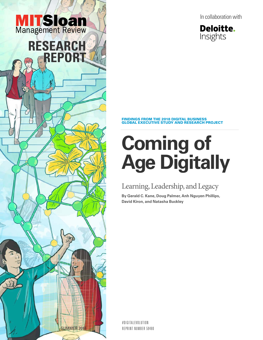



#### FINDINGS FROM THE 2018 DIGITAL BUSINESS GLOBAL EXECUTIVE STUDY AND RESEARCH PROJECT

# **Coming of Age Digitally**

## Learning, Leadership, and Legacy

**By Gerald C. Kane, Doug Palmer, Anh Nguyen Phillips, David Kiron, and Natasha Buckley**

#DIGITALEVOLUTION REPRINT NUMBER 59480

SUMMER 201

**RESEARCH** 

**MITSloan**<br>Management Review

**REPORT**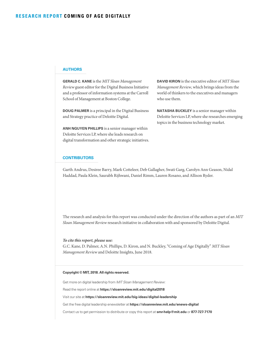#### **AUTHORS**

**GERALD C. KANE** is the *MIT Sloan Management Review* guest editor for the Digital Business Initiative and a professor of information systems at the Carroll School of Management at Boston College.

**DOUG PALMER** is a principal in the Digital Business and Strategy practice of Deloitte Digital.

**ANH NGUYEN PHILLIPS** is a senior manager within Deloitte Services LP, where she leads research on digital transformation and other strategic initiatives. **DAVID KIRON** is the executive editor of *MIT Sloan Management Review*, which brings ideas from the world of thinkers to the executives and managers who use them.

**NATASHA BUCKLEY** is a senior manager within Deloitte Services LP, where she researches emerging topics in the business technology market.

#### **CONTRIBUTORS**

Garth Andrus, Desiree Barry, Mark Cotteleer, Deb Gallagher, Swati Garg, Carolyn Ann Geason, Nidal Haddad, Paula Klein, Saurabh Rijhwani, Daniel Rimm, Lauren Rosano, and Allison Ryder.

The research and analysis for this report was conducted under the direction of the authors as part of an *MIT Sloan Management Review* research initiative in collaboration with and sponsored by Deloitte Digital.

#### *To cite this report, please use:*

G.C. Kane, D. Palmer, A.N. Phillips, D. Kiron, and N. Buckley, "Coming of Age Digitally" *MIT Sloan Management Review* and Deloitte Insights, June 2018.

#### **Copyright © MIT, 2018. All rights reserved.**

Get more on digital leadership from *MIT Sloan Management Review*:

Read the report online at **https://sloanreview.mit.edu/digital2018**

Visit our site at **https://sloanreview.mit.edu/big-ideas/digital-leadership**

Get the free digital leadership enewsletter at **https://sloanreview.mit.edu/enews-digital**

Contact us to get permission to distribute or copy this report at **smr-help@mit.edu** or **877-727-7170**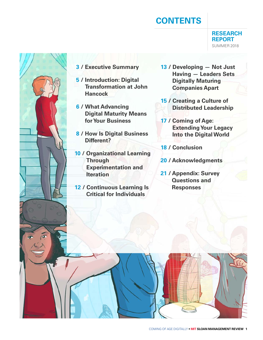## **CONTENTS**

**RESEARCH REPORT** SUMMER 2018



- **3 / Executive Summary**
- **5 / Introduction: Digital Transformation at John Hancock**
- **6 / What Advancing Digital Maturity Means for Your Business**
- **8 / How Is Digital Business Different?**
- **10 / Organizational Learning Through Experimentation and Iteration**
- **12 / Continuous Learning Is Critical for Individuals**
- **13 / Developing Not Just Having — Leaders Sets Digitally Maturing Companies Apart**
- **15 / Creating a Culture of Distributed Leadership**
- **17 / Coming of Age: Extending Your Legacy Into the Digital World**
- **18 / Conclusion**
- **20 / Acknowledgments**
- **21 / Appendix: Survey Questions and Responses**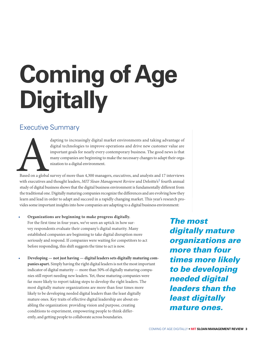# **Coming of Age Digitally**

## Executive Summary



dapting to increasingly digital market environments and taking advantage of<br>digital technologies to improve operations and drive new customer value are<br>important goals for nearly every contemporary business. The good news digital technologies to improve operations and drive new customer value are important goals for nearly every contemporary business. The good news is that many companies are beginning to make the necessary changes to adapt their organization to a digital environment.

Based on a global survey of more than 4,300 managers, executives, and analysts and 17 interviews with executives and thought leaders, *MIT Sloan Management Review* and Deloitte's<sup>1</sup> fourth annual study of digital business shows that the digital business environment is fundamentally different from the traditional one. Digitally maturing companies recognize the differences and are evolving how they learn and lead in order to adapt and succeed in a rapidly changing market. This year's research provides some important insights into how companies are adapting to a digital business environment:

- **Organizations are beginning to make progress digitally.** For the first time in four years, we've seen an uptick in how survey respondents evaluate their company's digital maturity. Many established companies are beginning to take digital disruption more seriously and respond. If companies were waiting for competitors to act before responding, this shift suggests the time to act is now.
- **Developing not just having digital leaders sets digitally maturing companies apart.** Simply having the right digital leaders is not the most important indicator of digital maturity — more than 50% of digitally maturing companies still report needing new leaders. Yet, these maturing companies were far more likely to report taking steps to develop the right leaders. The most digitally mature organizations are more than four times more likely to be developing needed digital leaders than the least digitally mature ones. Key traits of effective digital leadership are about enabling the organization: providing vision and purpose, creating conditions to experiment, empowering people to think differently, and getting people to collaborate across boundaries.

*The most digitally mature organizations are more than four times more likely to be developing needed digital leaders than the least digitally mature ones.*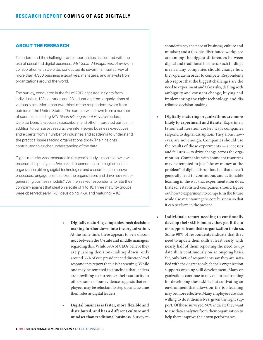#### ABOUT THE RESEARCH

To understand the challenges and opportunities associated with the use of social and digital business, *MIT Sloan Management Review*, in collaboration with Deloitte, conducted its seventh annual survey of more than 4,300 business executives, managers, and analysts from organizations around the world.

The survey, conducted in the fall of 2017, captured insights from individuals in 123 countries and 28 industries, from organizations of various sizes. More than two-thirds of the respondents were from outside of the United States. The sample was drawn from a number of sources, including *MIT Sloan Management Review* readers, Deloitte Dbriefs webcast subscribers, and other interested parties. In addition to our survey results, we interviewed business executives and experts from a number of industries and academia to understand the practical issues facing organizations today. Their insights contributed to a richer understanding of the data.

Digital maturity was measured in this year's study similar to how it was measured in prior years. We asked respondents to "imagine an ideal organization utilizing digital technologies and capabilities to improve processes, engage talent across the organization, and drive new valuegenerating business models." We then asked respondents to rate their company against that ideal on a scale of 1 to 10. Three maturity groups were observed: early (1-3), developing (4-6), and maturing (7-10).

- **Digitally maturing companies push decisionmaking further down into the organization.** At the same time, there appears to be a disconnect between the C-suite and middle managers regarding this. While 59% of CEOs believe they are pushing decision-making down, only around 33% of vice president and director-level respondents report that it is happening. While one may be tempted to conclude that leaders are unwilling to surrender their authority to others, some of our evidence suggests that employees may be reluctant to step up and assume their roles as digital leaders.
- **Digital business is faster, more flexible and distributed, and has a different culture and mindset than traditional business.** Survey re-

spondents say the pace of business; culture and mindset; and a flexible, distributed workplace are among the biggest differences between digital and traditional business. Such findings mean many companies should change how they operate in order to compete. Respondents also report that the biggest challenges are the need to experiment and take risks, dealing with ambiguity and constant change, buying and implementing the right technology, and distributed decision-making.

- **Digitally maturing organizations are more likely to experiment and iterate.** Experimentation and iteration are key ways companies respond to digital disruption. They alone, however, are not enough. Companies should use the results of those experiments — successes and failures — to drive change across the organization. Companies with abundant resources may be tempted to just "throw money at the problem" of digital disruption, but that doesn't generally lead to continuous and actionable learning in the way that experimentation does. Instead, established companies should figure out how to experiment to compete in the future while also maintaining the core business so that it can perform in the present.
- **Individuals report needing to continually develop their skills but say they get little to no support from their organization to do so.** Some 90% of respondents indicate that they need to update their skills at least yearly, with nearly half of them reporting the need to update skills continuously on an ongoing basis. Yet, only 34% of respondents say they are satisfied with the degree to which their organization supports ongoing skill development. Many organizations continue to rely on formal training for developing these skills, but cultivating an environment that allows on-the-job learning may be more effective. Many employees are also willing to do it themselves, given the right support. Of those surveyed, 90% indicate they want to use data analytics from their organization to help them improve their own performance.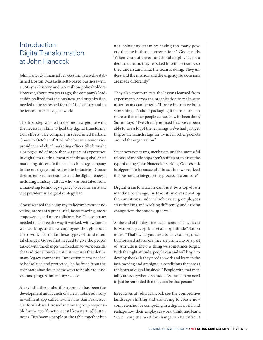## Introduction: Digital Transformation at John Hancock

John Hancock Financial Services Inc. is a well-established Boston, Massachusetts-based business with a 150-year history and 3.5 million policyholders. However, about two years ago, the company's leadership realized that the business and organization needed to be refreshed for the 21st century and to better compete in a digital world.

The first step was to hire some new people with the necessary skills to lead the digital transformation efforts. The company first recruited Barbara Goose in October of 2016, who became senior vice president and chief marketing officer. She brought a background of more than 20 years of experience in digital marketing, most recently as global chief marketing officer of a financial technology company in the mortgage and real estate industries. Goose then assembled her team to lead the digital renewal, including Lindsay Sutton, who was recruited from a marketing technology agency to become assistant vice president and digital strategy lead.

Goose wanted the company to become more innovative, more entrepreneurial, faster moving, more empowered, and more collaborative. The company needed to change the way it worked, with whom it was working, and how employees thought about their work. To make these types of fundamental changes, Goose first needed to give the people tasked with the changes the freedom to work outside the traditional bureaucratic structures that define many legacy companies. Innovation teams needed to be isolated and protected, "to be freed from the corporate shackles in some ways to be able to innovate and progress faster," says Goose.

A key initiative under this approach has been the development and launch of a new mobile advisory investment app called Twine. The San Francisco, California-based cross-functional group responsible for the app "functions just like a startup," Sutton notes. "It's having people at the table together but

not losing any steam by having too many powers-that-be in those conversations." Goose adds, "When you put cross-functional employees on a dedicated team, they're baked into those teams, so they understand what the team is doing. They understand the mission and the urgency, so decisions are made differently."

They also communicate the lessons learned from experiments across the organization to make sure other teams can benefit. "If we win or have built something, it's about packaging it up to be able to share so that other people can see how it's been done," Sutton says. "I've already noticed that we've been able to use a lot of the learnings we've had just getting to the launch stage for Twine in other pockets around the organization."

Yet, innovation teams, incubators, and the successful release of mobile apps aren't sufficient to drive the type of change John Hancock is seeking. Goose's task is bigger: "To be successful in scaling, we realized that we need to integrate this process into our core."

Digital transformation can't just be a top-down mandate to change. Instead, it involves creating the conditions under which existing employees start thinking and working differently, and driving change from the bottom up as well.

"At the end of the day, so much is about talent. Talent is two-pronged, by skill set and by attitude," Sutton notes. "That's what you need to drive an organization forward into an era they are primed to be a part of. Attitude is the one thing we sometimes forget." With the right attitude, people can and will begin to develop the skills they need to work and learn in the fast-moving and ambiguous conditions that are at the heart of digital business. "People with that mentality are everywhere," she adds. "Some of them need to just be reminded that they can be that person."

Executives at John Hancock see the competitive landscape shifting and are trying to create new competencies for competing in a digital world and reshape how their employees work, think, and learn. Yet, driving the need for change can be difficult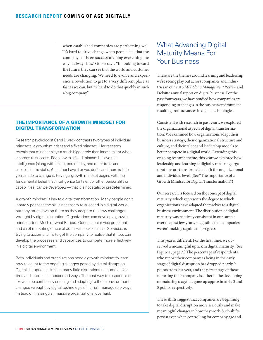when established companies are performing well. "It's hard to drive change when people feel that the company has been successful doing everything the way it always has," Goose says. "In looking toward the future, they can see that the world and customer needs are changing. We need to evolve and experience a revolution to get to a very different place as fast as we can, but it's hard to do that quickly in such a big company."

#### THE IMPORTANCE OF A GROWTH MINDSET FOR DIGITAL TRANSFORMATION

Research psychologist Carol Dweck contrasts two types of individual mindsets: a growth mindset and a fixed mindset.<sup>i</sup> Her research reveals that mindset plays a much bigger role than innate talent when it comes to success. People with a fixed mindset believe that intelligence (along with talent, personality, and other traits and capabilities) is static: You either have it or you don't, and there is little you can do to change it. Having a growth mindset begins with the fundamental belief that intelligence (or talent or other personality or capabilities) *can be developed* — that it is not static or predetermined.

A growth mindset is key to digital transformation. Many people don't innately possess the skills necessary to succeed in a digital world, but they must develop them as they adapt to the new challenges wrought by digital disruption. Organizations can develop a growth mindset, too. Much of what Barbara Goose, senior vice president and chief marketing officer at John Hancock Financial Services, is trying to accomplish is to get the company to realize that it, too, can develop the processes and capabilities to compete more effectively in a digital environment.

Both individuals and organizations need a growth mindset to learn how to adapt to the ongoing changes posed by digital disruption. Digital disruption is, in fact, many little disruptions that unfold over time and interact in unexpected ways. The best way to respond is to likewise be continually sensing and adapting to these environmental changes wrought by digital technologies in small, manageable ways instead of in a singular, massive organizational overhaul.

## What Advancing Digital Maturity Means For Your Business

These are the themes around learning and leadership we're seeing play out across companies and industries in our 2018 *MIT Sloan Management Review* and Deloitte annual report on digital business. For the past four years, we have studied how companies are responding to changes in the business environment resulting from advances in digital technologies.

Consistent with research in past years, we explored the organizational aspects of digital transformation. We examined how organizations adapt their business strategy, their organizational structure and culture, and their talent and leadership models to better compete in a digital world. Extending this ongoing research theme, this year we explored how leadership and learning at digitally maturing organizations are transformed at both the organizational and individual level. (See "The Importance of a Growth Mindset for Digital Transformation.")

Our research is focused on the concept of digital maturity, which represents the degree to which organizations have adapted themselves to a digital business environment. The distribution of digital maturity was relatively consistent in our sample over the past few years, suggesting that companies weren't making significant progress.

This year is different. For the first time, we observed a meaningful uptick in digital maturity. (See Figure 1, page 7.) The percentage of respondents who report their company as being in the early stage of digital disruption has dropped nearly 9 points from last year, and the percentage of those reporting their company is either in the developing or maturing stage has gone up approximately 3 and 5 points, respectively.

These shifts suggest that companies are beginning to take digital disruption more seriously and make meaningful changes in how they work. Such shifts persist even when controlling for company age and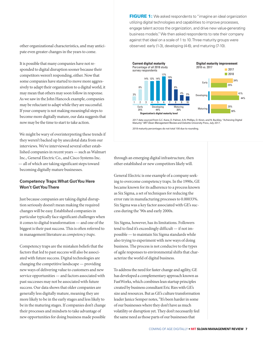other organizational characteristics, and may anticipate even greater changes in the years to come.

It is possible that many companies have not responded to digital disruption sooner because their competitors weren't responding, either. Now that some companies have started to move more aggressively to adapt their organization to a digital world, it may mean that others may soon follow in response. As we saw in the John Hancock example, companies may be reluctant to adapt while they are successful. If your company is not making meaningful steps to become more digitally mature, our data suggests that now may be the time to start to take action.

We might be wary of overinterpreting these trends if they weren't backed up by anecdotal data from our interviews. We've interviewed several other established companies in recent years — such as Walmart Inc., General Electric Co., and Cisco Systems Inc. — all of which are taking significant steps toward becoming digitally mature businesses.

#### **Competency Traps: What Got You Here Won't Get You There**

Just because companies are taking digital disruption seriously doesn't mean making the required changes will be easy. Established companies in particular typically face significant challenges when it comes to digital transformation — and one of the biggest is their past success. This is often referred to in management literature as *competency traps*.

Competency traps are the mistaken beliefs that the factors that led to past success will also be associated with future success. Digital technologies are changing the competitive landscape — providing new ways of delivering value to customers and new service opportunities — and factors associated with past successes may not be associated with future success. Our data shows that older companies are generally less digitally mature, meaning they are more likely to be in the early stages and less likely to be in the maturing stages. If companies don't change their processes and mindsets to take advantage of new opportunities for doing business made possible **FIGURE 1:** We asked respondents to "imagine an ideal organization utilizing digital technologies and capabilities to improve processes, engage talent across the organization, and drive new value-generating business models." We then asked respondents to rate their company against that ideal on a scale of 1 to 10. Three maturity groups were observed: early (1-3), developing (4-6), and maturing (7-10).



2017 data sourced from G.C. Kane, D. Palmer, A.N. Phillips, D. Kiron, and N. Buckley, "Achieving Digital Maturity" *MIT Sloan Management Review* and Deloitte University Press, July 2017.

2018 maturity percentages do not total 100 due to rounding.

through an emerging digital infrastructure, then other established or new competitors likely will.

General Electric is one example of a company seeking to overcome competency traps. In the 1990s, GE became known for its adherence to a process known as Six Sigma, a set of techniques for reducing the error rate in manufacturing processes to 0.00033%. Six Sigma was a key factor associated with GE's success during the '90s and early 2000s.

Six Sigma, however, has its limitations. Followers tend to find it's exceedingly difficult — if not impossible — to maintain Six Sigma standards while also trying to experiment with new ways of doing business. The process is not conducive to the types of agile responses to environmental shifts that characterize the world of digital business.

To address the need for faster change and agility, GE has developed a complementary approach known as FastWorks, which combines lean startup principles created by business consultant Eric Ries with GE's size and resources. But as GE's culture transformation leader Janice Semper notes, "It's been harder in some of our businesses where they don't have as much volatility or disruption yet. They don't necessarily feel the same need as those parts of our businesses that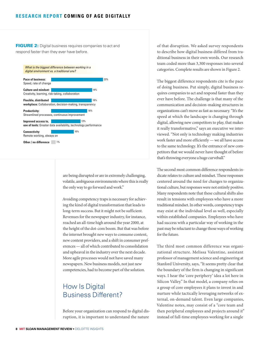#### **RESEARCH REPORT COMING OF AGE DIGITALLY**

FIGURE 2: Digital business requires companies to act and respond faster than they ever have before.



are being disrupted or are in extremely challenging, volatile, ambiguous environments where this is really the only way to go forward and work."

Avoiding competency traps is necessary for achieving the kind of digital transformation that leads to long-term success. But it might not be sufficient. Revenues for the newspaper industry, for instance, reached an all-time high around the year 2000, at the height of the dot-com boom. But that was before the internet brought new ways to consume content, new content providers, and a shift in consumer preferences — all of which contributed to consolidation and upheaval in the industry over the next decade. More agile processes would not have saved many newspapers. New business models, not just new competencies, had to become part of the solution.

## How Is Digital Business Different?

Before your organization can respond to digital disruption, it is important to understand the nature

of that disruption. We asked survey respondents to describe how digital business differed from traditional business in their own words. Our research team coded more than 3,300 responses into several categories. Complete results are shown in Figure 2.

The biggest difference respondents cite is the pace of doing business. Put simply, digital business requires companies to act and respond faster than they ever have before. The challenge is that many of the communication and decision-making structures in organizations can't move as fast as necessary. "It's the speed at which the landscape is changing through digital, allowing new competitors to play, that makes it really transformative," says an executive we interviewed. "Not only is technology making industries work faster and more efficiently — we all have access to the same technology. It's the entrance of new competitors that we would never have thought of before that's throwing everyone a huge curveball."

The second most common difference respondents indicate relates to culture and mindset. These responses centered around the need for changes to organizational culture, but responses were not entirely positive. Many respondents note that these cultural shifts also result in tensions with employees who have a more traditional mindset. In other words, competency traps may exist at the individual level as well, especially within established companies. Employees who have had success with a particular way of working in the past may be reluctant to change those ways of working for the future.

The third most common difference was organizational structure. Melissa Valentine, assistant professor of management science and engineering at Stanford University, says, "It seems pretty clear that the boundary of the firm is changing in significant ways. I hear the 'core periphery' idea a lot here in Silicon Valley." In that model, a company relies on a group of core employees it plans to invest in and nurture while tactically leveraging networks of external, on-demand talent. Even large companies, Valentine notes, may consist of a "core team and then peripheral employees and projects around it" instead of full-time employees working for a single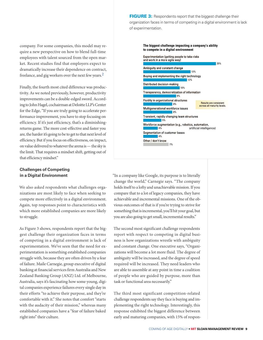company. For some companies, this model may require a new perspective on how to blend full-time employees with talent sourced from the open market. Recent studies find that employers expect to dramatically increase their dependence on contract, freelance, and gig workers over the next few years.2

Finally, the fourth most cited difference was productivity. As we noted previously, however, productivity improvements can be a double-edged sword. According to John Hagel, cochairman at Deloitte LLP's Center for the Edge, "If you are truly going to accelerate performance improvement, you have to stop focusing on efficiency. If it's just efficiency, that's a diminishingreturns game. The more cost-effective and faster you are, the harder it's going to be to get to that next level of efficiency. But if you focus on effectiveness, on impact, on value delivered to whatever the arena is — the sky is the limit. That requires a mindset shift, getting out of that efficiency mindset."

#### **Challenges of Competing in a Digital Environment**

We also asked respondents what challenges organizations are most likely to face when seeking to compete more effectively in a digital environment. Again, top responses point to characteristics with which more established companies are more likely to struggle.

As Figure 3 shows, respondents report that the biggest challenge their organization faces in terms of competing in a digital environment is lack of experimentation. We've seen that the need for experimentation is something established companies struggle with, because they are often driven by a fear of failure. Maile Carnegie, group executive of digital banking at financial services firm Australia and New Zealand Banking Group (ANZ) Ltd. of Melbourne, Australia, says it's fascinating how some young, digital companies experience failures every single day in their efforts "to achieve their purpose, and they're comfortable with it." She notes that comfort "starts with the audacity of their mission," whereas many established companies have a "fear of failure baked right into" their culture.

FIGURE 3: Respondents report that the biggest challenge their organization faces in terms of competing in a digital environment is lack of experimentation.



"In a company like Google, its purpose is to literally change the world," Carnegie says. "The company holds itself to a lofty and unachievable mission. If you compare that to a lot of legacy companies, they have achievable and incremental missions. One of the obvious outcomes of that is if you're trying to strive for something that is incremental, you'll hit your goal, but you are also going to get small, incremental results."

The second most significant challenge respondents report with respect to competing in digital business is how organizations wrestle with ambiguity and constant change. One executive says, "Organizations will become a lot more fluid. The degree of ambiguity will be increased, and the degree of speed required will be increased. They need leaders who are able to assemble at any point in time a coalition of people who are guided by purpose, more than task or functional area necessarily."

The third most significant competition-related challenge respondents say they face is buying and implementing the right technology. Interestingly, this response exhibited the biggest difference between early and maturing companies, with 15% of respon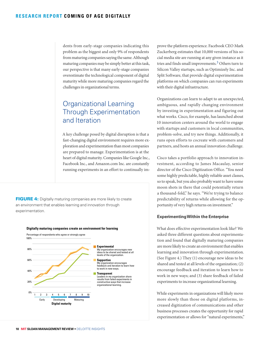dents from early-stage companies indicating this problem as the biggest and only 9% of respondents from maturing companies saying the same. Although maturing companies may be simply better at this task, our perspective is that many early-stage companies overestimate the technological component of digital maturity while more maturing companies regard the challenges in organizational terms.

## Organizational Learning Through Experimentation and Iteration

A key challenge posed by digital disruption is that a fast-changing digital environment requires more exploration and experimentation than most companies are prepared to manage. Experimentation is at the heart of digital maturity. Companies like Google Inc., Facebook Inc., and Amazon.com Inc. are constantly running experiments in an effort to continually im-

4 experimentation.**FIGURE 4:** Digitally maturing companies are more likely to create an environment that enables learning and innovation through

#### **Digitally maturing companies create an environment for learning**



prove the platform experience. Facebook CEO Mark Zuckerberg estimates that 10,000 versions of his social media site are running at any given instance as it tries and finds small improvements.3 Others turn to Silicon Valley startups, such as Optimizely Inc. and Split Software, that provide digital experimentation platforms on which companies can run experiments with their digital infrastructure.

Organizations can learn to adapt to an unexpected, ambiguous, and rapidly changing environment by investing in experimentation and figuring out what works. Cisco, for example, has launched about 10 innovation centers around the world to engage with startups and customers in local communities, problem-solve, and try new things. Additionally, it runs open efforts to cocreate with customers and partners, and hosts an annual innovation challenge.

Cisco takes a portfolio approach to innovation investment, according to James Macaulay, senior director of the Cisco Digitization Office. "You need some highly predictable, highly reliable asset classes, so to speak, but you also probably want to have some moon shots in there that could potentially return a thousand-fold," he says. "We're trying to balance predictability of returns while allowing for the opportunity of very high returns on investment."

#### **Experimenting Within the Enterprise**

What does effective experimentation look like? We asked three different questions about experimentation and found that digitally maturing companies are more likely to create an environment that enables learning and innovation through experimentation. (See Figure 4.) They (1) encourage new ideas to be shared and tested at all levels of the organization; (2) encourage feedback and iteration to learn how to work in new ways; and (3) share feedback of failed experiments to increase organizational learning.

While experiments in organizations will likely move more slowly than those on digital platforms, increased digitization of communications and other business processes creates the opportunity for rapid experimentation or allows for "natural experiments,"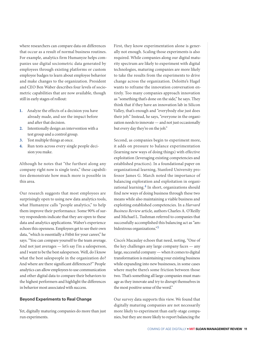where researchers can compare data on differences that occur as a result of normal business routines. For example, analytics firm Humanyze helps companies use digital sociometric data generated by employees through existing platforms or custom employee badges to learn about employee behavior and make changes to the organization. President and CEO Ben Waber describes four levels of sociometric capabilities that are now available, though still in early stages of rollout:

- **1.** Analyze the effects of a decision you have already made, and see the impact before and after that decision.
- **2.** Intentionally design an intervention with a test group and a control group.
- **3.** Test multiple things at once.
- **4.** Run tests across every single people decision you make.

Although he notes that "the furthest along any company right now is single tests," these capabilities demonstrate how much more is possible in this area.

Our research suggests that most employees are surprisingly open to using new data analytics tools, what Humanyze calls "people analytics," to help them improve their performance. Some 90% of survey respondents indicate that they are open to these data and analytics applications. Waber's experience echoes this openness. Employees get to see their own data, "which is essentially a Fitbit for your career," he says. "You can compare yourself to the team average. And not just averages — let's say I'm a salesperson, and I want to be the best salesperson. Well, do I know what the best salespeople in the organization do? And where are there significant differences?" People analytics can allow employees to use communication and other digital data to compare their behaviors to the highest performers and highlight the differences in behavior most associated with success.

#### **Beyond Experiments to Real Change**

Yet, digitally maturing companies do more than just run experiments.

First, they know experimentation alone is generally not enough. Scaling those experiments is also required. While companies along our digital maturity spectrum are likely to experiment with digital technologies, maturing companies are more likely to take the results from the experiments to drive change across the organization. Deloitte's Hagel wants to reframe the innovation conversation entirely. Too many companies approach innovation as "something that's done on the side," he says. They think that if they have an innovation lab in Silicon Valley, that's enough and "everybody else just does their job." Instead, he says, "everyone in the organization needs to innovate — and not just occasionally but every day they're on the job."

Second, as companies begin to experiment more, it adds on pressure to balance experimentation (learning new ways of doing things) with effective exploitation (leveraging existing competencies and established practices). In a foundational paper on organizational learning, Stanford University professor James G. March noted the importance of balancing exploration and exploitation in organizational learning.<sup>4</sup> In short, organizations should find new ways of doing business through these two means while also maintaining a viable business and exploiting established competencies. In a *Harvard Business Review* article, authors Charles A. O'Reilly and Michael L. Tushman referred to companies that successfully accomplished this balancing act as "ambidextrous organizations."5

Cisco's Macaulay echoes that need, noting, "One of the key challenges any large company faces — any large, successful company — when it comes to digital transformation is maintaining your existing business while expanding into new businesses, in some cases where maybe there's some friction between those two. That's something all large companies must manage as they innovate and try to disrupt themselves in the most positive sense of the word."

Our survey data supports this view. We found that digitally maturing companies are not necessarily more likely to experiment than early-stage companies, but they are more likely to report balancing the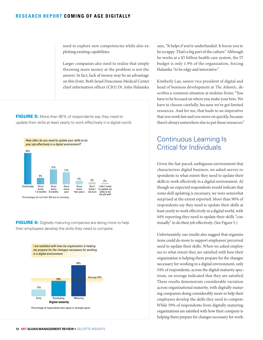need to explore new competencies while also exploiting existing capabilities.

Larger companies also need to realize that simply throwing more money at the problem is not the answer. In fact, lack of money may be an advantage on this front. Beth Israel Deaconess Medical Center chief information officer (CIO) Dr. John Halamka

update their skills at least yearly to work effectively in a digital world.



**FIGURE 6:** Digitally maturing companies are doing more to help their employees develop the skills they need to compete.



says, "It helps if you're underfunded. It forces you to be scrappy. That's a big part of the culture." Although he works at a \$5 billion health care system, the IT budget is only 1.9% of the organization, forcing Halamka "to be edgy and innovative."

Kimberly Lau, senior vice president of digital and head of business development at *The Atlantic*, describes a common situation at midsize firms: "You have to be focused on where you make your bets. We have to choose carefully, because we've got limited resources. And for me, that leads to an imperative that you work fast and you move on quickly, because there's always somewhere else to put those resources."

## Continuous Learning Is Critical for Individuals

Given the fast-paced, ambiguous environment that characterizes digital business, we asked survey respondents to what extent they need to update their skills to work effectively in a digital environment. Although we expected respondents would indicate that some skill updating is necessary, we were somewhat surprised at the extent reported: More than 90% of respondents say they need to update their skills at least yearly to work effectively in a digital world, with 44% reporting they need to update their skills "continually" to do their job effectively. (See Figure 5.)

Unfortunately, our results also suggest that organizations could do more to support employees' perceived need to update their skills. When we asked employees to what extent they are satisfied with how their organization is helping them prepare for the changes necessary for working in a digital environment, only 34% of respondents, across the digital maturity spectrum, on average indicated that they are satisfied. These results demonstrate considerable variation across organizational maturity, with digitally maturing companies doing considerably more to help their employees develop the skills they need to compete. While 59% of respondents from digitally maturing organizations are satisfied with how their company is helping them prepare for changes necessary for work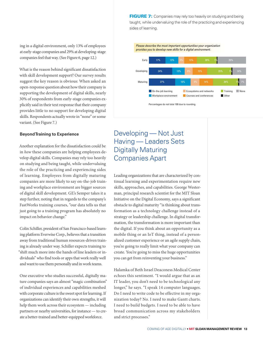ing in a digital environment, only 13% of employees at early-stage companies and 29% at developing-stage companies feel that way. (See Figure 6, page 12.)

What is the reason behind significant dissatisfaction with skill development support? Our survey results suggest the key reason is obvious: When asked an open-response question about how their company is supporting the development of digital skills, nearly 30% of respondents from early-stage companies explicitly said in their text response that their company provides little to no support for developing digital skills. Respondents actually wrote in "none" or some variant. (See Figure 7.)

#### **Beyond Training to Experience**

Another explanation for the dissatisfaction could be in *how* these companies are helping employees develop digital skills. Companies may rely too heavily on studying and being taught, while undervaluing the role of the practicing and experiencing sides of learning. Employees from digitally maturing companies are more likely to say on-the-job training and workplace environment are bigger sources of digital skill development. GE's Semper takes it a step further, noting that in regards to the company's FastWorks training courses, "our data tells us that just going to a training program has absolutely no impact on behavior change."

Colin Schiller, president of San Francisco-based learning platform Everwise Corp., believes that a transition away from traditional human resources-driven training is already under way. Schiller expects training to "shift much more into the hands of line leaders or individuals" who find tools or apps that work really well and want to use them personally and in work teams.

One executive who studies successful, digitally mature companies says an almost "magic combination" of individual experiences and capabilities meshed with corporate culture is the sweet spot for learning. If organizations can identify their own strengths, it will help them work across their ecosystem — including partners or nearby universities, for instance — to create a better-trained and better-equipped workforce.

FIGURE 7: Companies may rely too heavily on studying and being taught, while undervaluing the role of the practicing and experiencing sides of learning.



Percentages do not total 100 due to rounding.

## Developing — Not Just Having — Leaders Sets Digitally Maturing Companies Apart

Leading organizations that are characterized by continual learning and experimentation require new skills, approaches, and capabilities. George Westerman, principal research scientist for the MIT Sloan Initiative on the Digital Economy, says a significant obstacle to digital maturity "is thinking about transformation as a technology challenge instead of a strategy or leadership challenge. In digital transformation, the transformation is more important than the digital. If you think about an opportunity as a mobile thing or an IoT thing, instead of a personalized customer experience or an agile supply chain, you're going to really limit what your company can create. You're going to miss the huge opportunities you can get from reinventing your business."

Halamka of Beth Israel Deaconess Medical Center echoes this sentiment. "I would argue that as an IT leader, you don't need to be technological any longer," he says. "I speak 14 computer languages. Do I need to write code to be effective in my organization today? No. I need to make Gantt charts. I need to build budgets. I need to be able to have broad communication across my stakeholders and strict processes."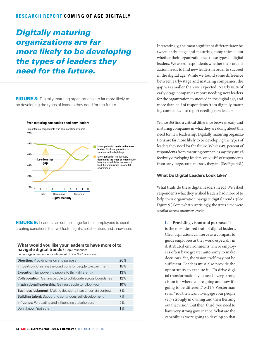#### **RESEARCH REPORT COMING OF AGE DIGITALLY**

## *Digitally maturing organizations are far more likely to be developing the types of leaders they need for the future.*

be developing the types of leaders they need for the future. FIGURE 8: Digitally maturing organizations are far more likely to



FIGURE 9: Leaders can set the stage for their employees to excel, creating conditions that will foster agility, collaboration, and innovation.

#### **What would you like your leaders to have more of to navigate digital trends?** (Top 3 responses)

Percentage of respondents who rated choice No. 1 are shown

| <b>Direction:</b> Providing vision and purpose                        | 26%   |
|-----------------------------------------------------------------------|-------|
| <b>Innovation:</b> Creating the conditions for people to experiment   | 18%   |
| <b>Execution:</b> Empowering people to think differently              | 13%   |
| <b>Collaboration:</b> Getting people to collaborate across boundaries | 12%   |
| <b>Inspirational leadership:</b> Getting people to follow you         | 10%   |
| <b>Business judgment:</b> Making decisions in an uncertain context    | 8%    |
| <b>Building talent:</b> Supporting continuous self-development        | 7%    |
| <b>Influence:</b> Persuading and influencing stakeholders             | 5%    |
| Don't know / not sure                                                 | $1\%$ |
|                                                                       |       |

Interestingly, the most significant differentiator between early-stage and maturing companies is not whether their organization has these types of digital leaders. We asked respondents whether their organization needs to find new leaders in order to succeed in the digital age. While we found some difference between early-stage and maturing companies, the gap was smaller than we expected. Nearly 80% of early-stage companies report needing new leaders for the organization to succeed in the digital age, and more than half of respondents from digitally maturing companies also report needing new leaders.

Yet, we *did* find a critical difference between early and maturing companies in what they are doing about this need for new leadership. Digitally maturing organizations are far more likely to be developing the types of leaders they need for the future. While 64% percent of respondents from maturing companies say they are effectively developing leaders, only 14% of respondents from early-stage companies say they are. (See Figure 8.)

#### **What Do Digital Leaders Look Like?**

What traits do these digital leaders need? We asked respondents what they wished leaders had more of to help their organization navigate digital trends. (See Figure 9.) Somewhat surprisingly, the traits cited were similar across maturity levels:

> **1. Providing vision and purpose.** This is the most desired trait of digital leaders. Clear aspirations can serve as a compass to guide employees as they work, especially in distributed environments where employees often have greater autonomy to make decisions. Yet, the vision itself may not be sufficient. Leaders must also provide the opportunity to execute it. "To drive digital transformation, you need a very strong vision for where you're going and how it's going to be different," MIT's Westerman says. "You then want to engage your people very strongly in owning and then fleshing out that vision. But then, third, you need to have very strong governance. What are the capabilities we're going to develop so that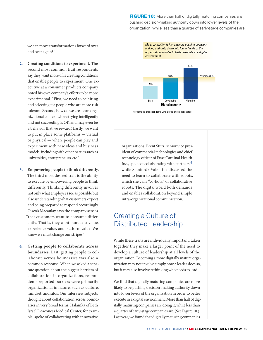FIGURE 10: More than half of digitally maturing companies are pushing decision-making authority down into lower levels of the organization, while less than a quarter of early-stage companies are.

we can move transformations forward over and over again?"

- **2. Creating conditions to experiment.** The second most common trait respondents say they want more of is creating conditions that enable people to experiment. One executive at a consumer products company noted his own company's efforts to be more experimental. "First, we need to be hiring and selecting for people who are more risk tolerant. Second, how do we create an organizational context where trying intelligently and not succeeding is OK and may even be a behavior that we reward? Lastly, we want to put in place some platforms — virtual or physical — where people can play and experiment with new ideas and business models, including with other parties such as universities, entrepreneurs, etc."
- **3. Empowering people to think differently.** The third most desired trait is the ability to execute by empowering people to think differently. Thinking differently involves not only what employees see as possible but also understanding what customers expect and being prepared to respond accordingly. Cisco's Macaulay says the company senses "that customers want to consume differently. That is, they want more cost value, experience value, and platform value. We know we must change our stripes."
- **4. Getting people to collaborate across boundaries.** Last, getting people to collaborate across boundaries was also a common response. When we asked a separate question about the biggest barriers of collaboration in organizations, respondents reported barriers were primarily organizational in nature, such as culture, mindset, and silos. Our interview subjects thought about collaboration across boundaries in very broad terms. Halamka of Beth Israel Deaconess Medical Center, for example, spoke of collaborating with innovative



Percentage of respondents who agree or strongly agree

organizations. Brent Stutz, senior vice president of commercial technologies and chief technology officer of Fuse Cardinal Health Inc., spoke of collaborating with partners,  $6$ while Stanford's Valentine discussed the need to learn to collaborate with robots, which she calls "co-bots," or collaborative robots. The digital world both demands and enables collaboration beyond simple intra-organizational communication.

## Creating a Culture of Distributed Leadership

While these traits are individually important, taken together they make a larger point of the need to develop a culture of leadership at all levels of the organization. Becoming a more digitally mature organization may not involve simply how a leader does so, but it may also involve rethinking who needs to lead.

We find that digitally maturing companies are more likely to be pushing decision-making authority down into lower levels of the organization in order to better execute in a digital environment. More than half of digitally maturing companies are doing it, while less than a quarter of early-stage companies are. (See Figure 10.) Last year, we found that digitally maturing companies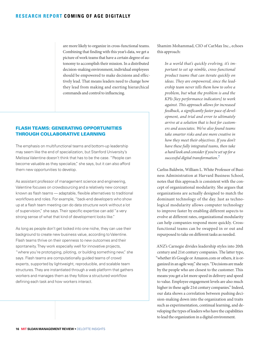are more likely to organize in cross-functional teams. Combining that finding with this year's data, we get a picture of work teams that have a certain degree of autonomy to accomplish their mission. In a distributed decision-making environment, individual employees should be empowered to make decisions and effectively lead. That means leaders need to change how they lead from making and exerting hierarchical commands and control to influencing.

#### FLASH TEAMS: GENERATING OPPORTUNITIES THROUGH COLLABORATIVE LEARNING

The emphasis on multifunctional teams and bottom-up leadership may seem like the end of specialization, but Stanford University's Melissa Valentine doesn't think that has to be the case. "People can become valuable as they specialize," she says, but it can also afford them new opportunities to develop.

As assistant professor of management science and engineering, Valentine focuses on crowdsourcing and a relatively new concept known as flash teams — adaptable, flexible alternatives to traditional workflows and roles. For example, "back-end developers who show up at a flash team meeting can do data structure work without a lot of supervision," she says. Their specific expertise can add "a very strong sense of what that kind of development looks like."

As long as people don't get locked into one niche, they can use their background to create new business value, according to Valentine. Flash teams thrive on their openness to new outcomes and their spontaneity. They work especially well for innovative projects, "where you're prototyping, piloting, or building something new," she says. Flash teams are computationally guided teams of crowd experts, supported by lightweight, reproducible, and scalable team structures. They are instantiated through a web platform that gathers workers and manages them as they follow a structured workflow defining each task and how workers interact.

Shamim Mohammad, CIO of CarMax Inc., echoes this approach:

*In a world that's quickly evolving, it's important to set up nimble, cross-functional product teams that can iterate quickly on ideas. They are empowered, since the leadership team never tells them how to solve a problem, but* what *the problem is and the KPIs [key performance indicators] to work against. This approach allows for increased feedback, a significantly faster pace of development, and trial and error to ultimately arrive at a solution that is best for customers and associates. We've also found teams take smarter risks and are more creative in how they meet their objectives. If you don't have these fully integrated teams, then take a hard look and consider if you're set up for a successful digital transformation.*7

Carliss Baldwin, William L. White Professor of Business Administration at Harvard Business School, notes that this approach is consistent with the concept of organizational modularity. She argues that organizations are actually designed to match the dominant technology of the day. Just as technological modularity allows computer technology to improve faster by enabling different aspects to evolve at different rates, organizational modularity can help companies respond more quickly. Crossfunctional teams can be swapped in or out and repurposed to take on different tasks as needed.

ANZ's Carnegie divides leadership styles into 20th century and 21st century companies. The latter type, "whether it's Google or Amazon.com or others, it is organized in an agile way," she says. "Decisions are made by the people who are closest to the customer. This means you get a lot more speed in delivery and speed to value. Employee engagement levels are also much higher in these agile 21st century companies." Indeed, our data shows a correlation between pushing decision-making down into the organization and traits such as experimentation, continual learning, and developing the types of leaders who have the capabilities to lead the organization in a digital environment.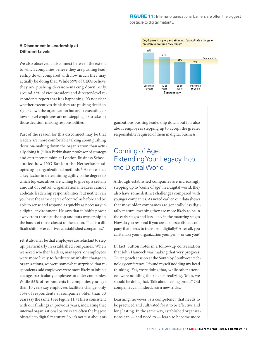FIGURE 11: Internal organizational barriers are often the biggest obstacle to digital maturity.

#### **A Disconnect in Leadership at Different Levels**

We also observed a disconnect between the extent to which companies believe they are pushing leadership down compared with how much they may actually be doing that. While 59% of CEOs believe they are pushing decision-making down, only around 33% of vice president and director-level respondents report that it is happening. It's not clear whether executives think they are pushing decision rights down the organization but aren't executing or lower-level employees are not stepping up to take on those decision-making responsibilities.

Part of the reason for this disconnect may be that leaders are more comfortable talking about pushing decision-making down the organization than actually doing it. Julian Birkinshaw, professor of strategy and entrepreneurship at London Business School, studied how ING Bank in the Netherlands adopted agile organizational methods.8 He notes that a key factor in determining agility is the degree to which top executives are willing to give up a certain amount of control. Organizational leaders cannot abdicate leadership responsibilities, but neither can you have the same degree of control as before and be able to sense and respond as quickly as necessary in a digital environment. He says that it "shifts power away from those at the top and puts ownership in the hands of those closest to the action. That is a difficult shift for executives at established companies."

Yet, it also may be that employees are reluctant to step up, particularly in established companies. When we asked whether leaders, managers, or employees were more likely to facilitate or inhibit change in organizations, we were somewhat surprised that respondents said employees were more likely to inhibit change, particularly employees at older companies. While 55% of respondents in companies younger than 10 years say employees facilitate change, only 35% of respondents at companies older than 50 years say the same. (See Figure 11.) This is consistent with our findings in previous years, indicating that internal organizational barriers are often the biggest obstacle to digital maturity. So, it's not just about or-



ganizations pushing leadership down, but it is also about employees stepping up to accept the greater responsibility required of them in digital business.

## Coming of Age: Extending Your Legacy Into the Digital World

Although established companies are increasingly stepping up to "come of age" in a digital world, they also have some distinct challenges compared with younger companies. As noted earlier, our data shows that most older companies are generally less digitally mature, meaning they are more likely to be in the early stages and less likely in the maturing stages. How do you respond if you are at an established company that needs to transform digitally? After all, you can't make your organization younger — or can you?

In fact, Sutton notes in a follow-up conversation that John Hancock was making that very progress: "During each session at the South by Southwest technology conference, I found myself nodding my head thinking, 'Yes, we're doing that,' while other attendees were nodding their heads realizing, 'Man, we should be doing that.' Talk about feeling proud." Old companies can, indeed, learn new tricks.

Learning, however, is a competency that needs to be practiced and cultivated for it to be effective and long lasting. In the same way, established organizations can — and need to — learn to become more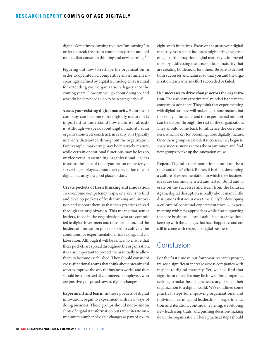digital. Sometimes learning requires "unlearning" in order to break free from competency traps and old models that constrain thinking and new learning.<sup>9</sup>

Figuring out how to reshape the organization in order to operate in a competitive environment increasingly defined by digital technologies is essential for extending your organization's legacy into the coming years. How can you go about doing so, and what do leaders need to do to help bring it about?

**Assess your existing digital maturity.** Before your company can become more digitally mature, it is important to understand how mature it already is. Although we speak about digital maturity as an organization-level construct, in reality, it is typically unevenly distributed throughout the organization. For example, marketing may be relatively mature, while certain operational functions may be less so, or vice versa. Assembling organizational leaders to assess the state of the organization or, better yet, surveying employees about their perception of your digital maturity is a good place to start.

#### **Create pockets of fresh thinking and innovation**.

To overcome competency traps, one key is to find and develop pockets of fresh thinking and innovation and support them so that their practices spread through the organization. This means that senior leaders, those in the organization who are committed to digital investment and transformation, and the leaders of innovation pockets need to cultivate the conditions for experimentation, risk-taking, and collaboration. Although it will be critical to ensure that these pockets are spread throughout the organization, it is also important to protect them initially to allow them to become established. They should consist of cross-functional teams that think about meaningful ways to improve the way the business works, and they should be comprised of volunteers or employees who are positively disposed toward digital changes.

**Experiment and learn.** In these pockets of digital innovation, begin to experiment with new ways of doing business. These groups should not be moon shots of digital transformation but rather iterate on a minimum number of viable changes as part of six- to

eight-week initiatives. Focus on the areas your digital maturity assessment indicates might bring the greatest gains. You may find digital maturity is improved most by addressing the areas of least maturity that are creating bottlenecks for others. Be sure to debrief both successes and failures so that you and the organization learn why an effort succeeded or failed.

**Use successes to drive change across the organization.** The risk of an experimental mindset is that many companies stop there. They think that experimenting with digital business will make them more mature, but that's only if the teams and the experimental mindset can be driven through the rest of the organization. They should come back to influence the core business, which is key for becoming more digitally mature. Once these groups see modest successes, they begin to share success stories across the organization and find new groups to take up the innovation cause.

**Repeat.** Digital experimentation should not be a "once and done" effort. Rather, it is about developing a culture of experimentation in which new business ideas are continually tried and tested. Build and iterate on the successes and learn from the failures. Again, digital disruption is really about many little disruptions that occur over time. Only by developing a culture of continual experimentation — experimenting with new approaches while also supporting the core business — can established organizations keep up with the changes that have happened and are still to come with respect to digital business.

### **Conclusion**

For the first time in our four-year research project, we see a significant increase across companies with respect to digital maturity. Yet, we also find that significant obstacles may lie in wait for companies seeking to make the changes necessary to adapt their organization to a digital world. We've outlined some practical steps for improving organizational and individual learning and leadership — experimentation and iteration, continual learning, developing new leadership traits, and pushing decision-making down the organization. These practical steps should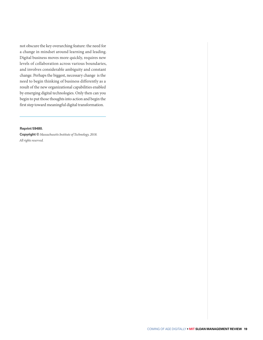not obscure the key overarching feature: the need for a change in mindset around learning and leading. Digital business moves more quickly, requires new levels of collaboration across various boundaries, and involves considerable ambiguity and constant change. Perhaps the biggest, necessary change is the need to begin thinking of business differently as a result of the new organizational capabilities enabled by emerging digital technologies. Only then can you begin to put those thoughts into action and begin the first step toward meaningful digital transformation.

#### **Reprint 59480.**

**Copyright ©** *Massachusetts Institute of Technology, 2018. All rights reserved.*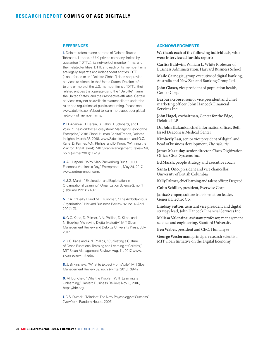#### **REFERENCES**

**1.** Deloitte refers to one or more of Deloitte Touche Tohmatsu Limited, a U.K. private company limited by guarantee ("DTTL"), its network of member firms, and their related entities. DTTL and each of its member firms are legally separate and independent entities. DTTL (also referred to as "Deloitte Global") does not provide services to clients. In the United States, Deloitte refers to one or more of the U.S. member firms of DTTL, their related entities that operate using the "Deloitte" name in the United States, and their respective affiliates. Certain services may not be available to attest clients under the rules and regulations of public accounting. Please see www.deloitte.com/about to learn more about our global network of member firms.

**2.** D. Agarwal, J. Bersin, G. Lahiri, J. Schwartz, and E. Volini, "The Workforce Ecosystem: Managing Beyond the Enterprise," 2018 Global Human Capital Trends, Deloitte Insights, March 28, 2018, [www2.deloitte.com;](http://ww2.deloitte.com) and G.C. Kane, D. Palmer, A.N. Phillips, and D. Kiron. "Winning the War for Digital Talent," MIT Sloan Management Review 58, no. 2 (winter 2017): 17-19.

**3.** A. Huspeni, "Why Mark Zuckerberg Runs 10,000 Facebook Versions a Day," Entrepreneur, May 24, 2017, www.entrepreneur.com.

**4.** J.G. March, "Exploration and Exploitation in Organizational Learning," Organization Science 2, no. 1 (February 1991): 71-87.

**5.** C.A. O'Reilly III and M.L. Tushman, "The Ambidextrous Organization," Harvard Business Review 82, no. 4 (April 2004): 74.

**6.** G.C. Kane, D. Palmer, A.N. Phillips, D. Kiron, and N. Buckley, "Achieving Digital Maturity," MIT Sloan Management Review and Deloitte University Press, July 2017.

**7.** G.C. Kane and A.N. Phillips, "Cultivating a Culture of Cross-Functional Teaming and Learning at CarMax," MIT Sloan Management Review, Aug. 11, 2017, www. sloanreview.mit.edu.

**8.** J. Birkinshaw, "What to Expect From Agile," MIT Sloan Management Review 59, no. 2 (winter 2018): 39-42.

**9.** M. Bonchek, "Why the Problem With Learning Is Unlearning," Harvard Business Review, Nov. 3, 2016, https://hbr.org.

**i.** C.S. Dweck, "Mindset: The New Psychology of Success" (New York: Random House, 2006).

#### **ACKNOWLEDGMENTS**

**We thank each of the following individuals, who were interviewed for this report:**

**Carliss Baldwin,** William L. White Professor of Business Administration, Harvard Business School

**Maile Carnegie,** group executive of digital banking, Australia and New Zealand Banking Group Ltd.

**John Glaser,** vice president of population health, Cerner Corp.

**Barbara Goose,** senior vice president and chief marketing officer, John Hancock Financial Services Inc.

**John Hagel,** cochairman, Center for the Edge, Deloitte LLP

**Dr. John Halamka,** chief information officer, Beth Israel Deaconess Medical Center

**Kimberly Lau,** senior vice president of digital and head of business development, *The Atlantic*

**James Macaulay,** senior director, Cisco Digitization Office, Cisco Systems Inc.

**Ed Marsh,** people strategy and executive coach

**Santa J. Ono,** president and vice chancellor, University of British Columbia

**Kelly Palmer,** chief learning and talent officer, Degreed

**Colin Schiller,** president, Everwise Corp.

**Janice Semper,** culture transformation leader, General Electric Co.

**Lindsay Sutton,** assistant vice president and digital strategy lead, John Hancock Financial Services Inc.

**Melissa Valentine,** assistant professor, management science and engineering, Stanford University

**Ben Waber,** president and CEO, Humanyze

**George Westerman,** principal research scientist, MIT Sloan Initiative on the Digital Economy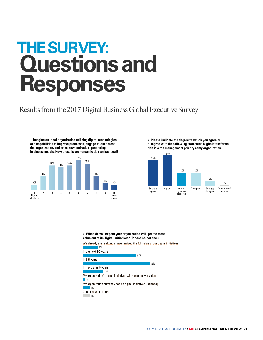## **THE SURVEY: Questions and Responses**

Results from the 2017 Digital Business Global Executive Survey

**1. Imagine an ideal organization utilizing digital technologies and capabilities to improve processes, engage talent across the organization, and drive new and value-generating business models. How close is your organization to that ideal?** 



**2. Please indicate the degree to which you agree or disagree with the following statement: Digital transformation is a top management priority at my organization.**



**3. When do you expect your organization will get the most value out of its digital initiatives? (Please select one.)**

We already are realizing / have realized the full value of our digital initiatives

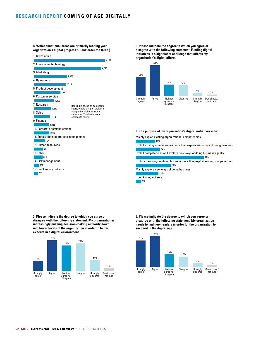**4. Which functional areas are primarily leading your organization's digital progress? (Rank order top three.)**



**5. Please indicate the degree to which you agree or disagree with the following statement: Funding digital**  initiatives is a significant challenge that affects my **organization's digital efforts.**



#### **6. The purpose of my organization's digital initiatives is to:**

Mainly exploit existing organizational competencies

11%

14% Exploit existing competencies more than explore new ways of doing business

39% Exploit competencies and explore new ways of doing business equally

<sup>20%</sup> Explore new ways of doing business more than exploit existing competencies

13% Mainly explore new ways of doing business

3% Don't know / not sure

**7. Please indicate the degree to which you agree or disagree with the following statement: My organization is increasingly pushing decision-making authority down into lower levels of the organization in order to better execute in a digital environment.**



**8. Please indicate the degree to which you agree or disagree with the following statement: My organization**  needs to find new leaders in order for the organization to **succeed in the digital age.**



**22 MIT SLOAN MANAGEMENT REVIEW** • DELOITTE INSIGHTS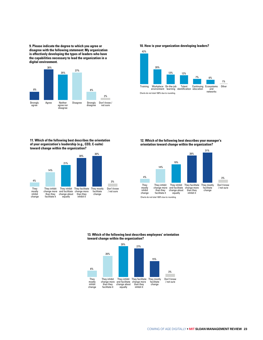**9. Please indicate the degree to which you agree or disagree with the following statement: My organization is effectively developing the types of leaders who have the capabilities necessary to lead the organization in a digital environment.**



**10. How is your organization developing leaders?**



**11. Which of the following best describes the orientation of your organization's leadership (e.g., CEO, C-suite) toward change within the organization?**



**12. Which of the following best describes your manager's orientation toward change within the organization?**



**13. Which of the following best describes employees' orientation toward change within the organization?**



COMING OF AGE DIGITALLY • **MIT SLOAN MANAGEMENT REVIEW 23**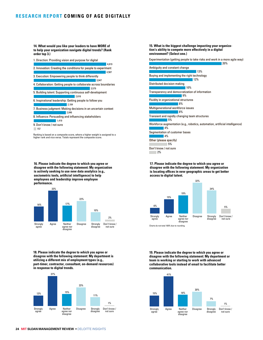#### **RESEARCH REPORT COMING OF AGE DIGITALLY**

**14. What would you like your leaders to have MORE of to help your organization navigate digital trends? (Rank order top 3.)**



Ranking is based on a composite score, where a higher weight is assigned to a higher rank and vice versa. Totals represent the composite score.

**16. Please indicate the degree to which you agree or disagree with the following statement: My organization is actively seeking to use new data analytics (e.g.,**  sociometric tools, artificial intelligence) to help **employees and leadership improve employee performance.**



**18. Please indicate the degree to which you agree or disagree with the following statement: My department is utilizing a different mix of employment types (e.g., part-timer, contractor, consultant, on-demand resources) in response to digital trends.**



**15. What is the biggest challenge impacting your organization's ability to compete more effectively in a digital environment? (Select one.)**

Experimentation (getting people to take risks and work in a more agile way)



**17. Please indicate the degree to which you agree or disagree with the following statement: My organization**  is locating offices in new geographic areas to get better **access to digital talent.**



**19. Please indicate the degree to which you agree or disagree with the following statement: My department or team is working or starting to work with advanced collaborative tools instead of email to facilitate better communication.**

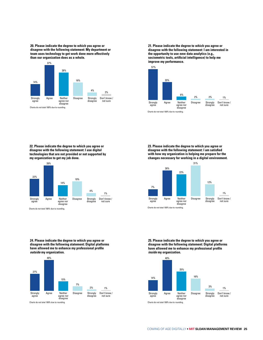**20. Please indicate the degree to which you agree or disagree with the following statement: My department or team uses technology to get work done more effectively than our organization does as a whole.**



**21. Please indicate the degree to which you agree or disagree with the following statement: I am interested in the opportunity to use new data analytics (e.g.,**  sociometric tools, artificial intelligence) to help me **improve my performance.** 



**22. Please indicate the degree to which you agree or disagree with the following statement: I use digital technologies that are not provided or not supported by my organization to get my job done.**



Charts do not total 100% due to rounding.

**23. Please indicate the degree to which you agree or disagree with the following statement: I am satised with how my organization is helping me prepare for the changes necessary for working in a digital environment.**



**25. Please indicate the degree to which you agree or disagree with the following statement: Digital platforms**  have allowed me to enhance my professional profile *inside* **my organization.**



**24. Please indicate the degree to which you agree or disagree with the following statement: Digital platforms**  have allowed me to enhance my professional profile *outside* **my organization.**

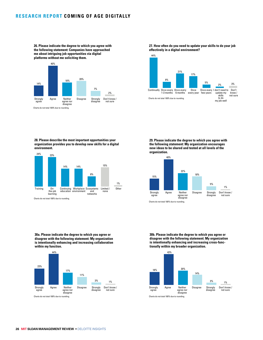**26. Please indicate the degree to which you agree with the following statement: Companies have approached me about intriguing job opportunities via digital platforms without me soliciting them.**



**27. How often do you need to update your skills to do your job effectively in a digital environment?**



**28. Please describe the most important opportunities your organization provides you to develop new skills for a digital environment.**



**29. Please indicate the degree to which you agree with the following statement: My organization encourages new ideas to be shared and tested at all levels of the organization.**



**30a. Please indicate the degree to which you agree or disagree with the following statement: My organization is intentionally enhancing and increasing collaboration within my function.**



**30b. Please indicate the degree to which you agree or disagree with the following statement: My organization is intentionally enhancing and increasing cross-functionally within my broader organization.**

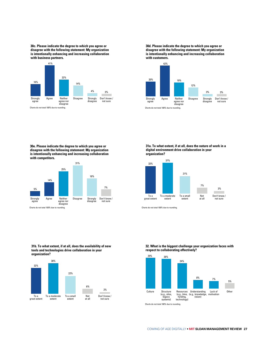**30c. Please indicate the degree to which you agree or disagree with the following statement: My organization is intentionally enhancing and increasing collaboration with business partners.**



**30d. Please indicate the degree to which you agree or disagree with the following statement: My organization is intentionally enhancing and increasing collaboration with customers.**



**30e. Please indicate the degree to which you agree or disagree with the following statement: My organization is intentionally enhancing and increasing collaboration with competitors.**



**31a. To what extent, if at all, does the nature of work in a digital environment drive collaboration in your organization?** 



Charts do not total 100% due to rounding.

#### **31b. To what extent, if at all, does the availability of new tools and technologies drive collaboration in your organization?**



**32. What is the biggest challenge your organization faces with respect to collaborating effectively?**



Charts do not total 100% due to rounding.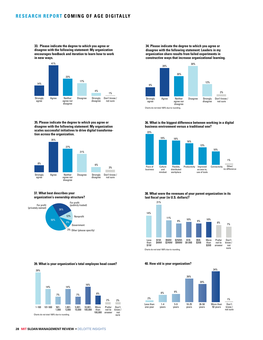**33. Please indicate the degree to which you agree or disagree with the following statement: My organization encourages feedback and iteration to learn how to work in new ways.**



**35. Please indicate the degree to which you agree or disagree with the following statement: My organization scales successful initiatives to drive digital transformation across the organization.**



#### **37. What best describes your organization's ownership structure?**



**39. What is your organization's total employee head count?**



**34. Please indicate the degree to which you agree or disagree with the following statement: Leaders in my organization share results from failed experiments in constructive ways that increase organizational learning.**



**36. What is the biggest difference between working in a digital business environment versus a traditional one?**



**38. What were the revenues of your parent organization in its last fiscal year (in U.S. dollars)?** 



#### **40. How old is your organization?**



**28 MIT SLOAN MANAGEMENT REVIEW** • DELOITTE INSIGHTS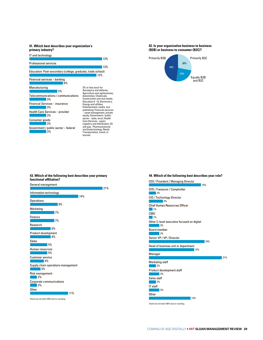**primary industry?**



#### **42. Is your organization business to business (B2B) or business to consumer (B2C)?**



## **functional afliation?**



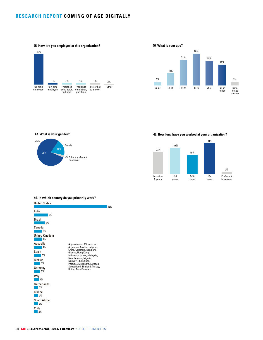





#### **47. What is your gender?**



**48. How long have you worked at your organization?**



#### **49. In which country do you primarily work?**

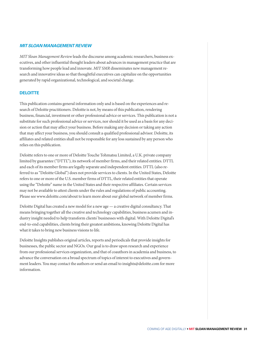#### *MIT SLOAN MANAGEMENT REVIEW*

*MIT Sloan Management Review* leads the discourse among academic researchers, business executives, and other influential thought leaders about advances in management practice that are transforming how people lead and innovate. *MIT SMR* disseminates new management research and innovative ideas so that thoughtful executives can capitalize on the opportunities generated by rapid organizational, technological, and societal change.

#### **DELOITTE**

This publication contains general information only and is based on the experiences and research of Deloitte practitioners. Deloitte is not, by means of this publication, rendering business, financial, investment or other professional advice or services. This publication is not a substitute for such professional advice or services, nor should it be used as a basis for any decision or action that may affect your business. Before making any decision or taking any action that may affect your business, you should consult a qualified professional advisor. Deloitte, its affiliates and related entities shall not be responsible for any loss sustained by any person who relies on this publication.

Deloitte refers to one or more of Deloitte Touche Tohmatsu Limited, a U.K. private company limited by guarantee ("DTTL"), its network of member firms, and their related entities. DTTL and each of its member firms are legally separate and independent entities. DTTL (also referred to as "Deloitte Global") does not provide services to clients. In the United States, Deloitte refers to one or more of the U.S. member firms of DTTL, their related entities that operate using the "Deloitte" name in the United States and their respective affiliates. Certain services may not be available to attest clients under the rules and regulations of public accounting. Please see www.deloitte.com/about to learn more about our global network of member firms.

Deloitte Digital has created a new model for a new age — a creative digital consultancy. That means bringing together all the creative and technology capabilities, business acumen and industry insight needed to help transform clients' businesses with digital. With Deloitte Digital's end-to-end capabilities, clients bring their greatest ambitions, knowing Deloitte Digital has what it takes to bring new business visions to life.

Deloitte Insights publishes original articles, reports and periodicals that provide insights for businesses, the public sector and NGOs. Our goal is to draw upon research and experience from our professional services organization, and that of coauthors in academia and business, to advance the conversation on a broad spectrum of topics of interest to executives and government leaders. You may contact the authors or send an email to insights@deloitte.com for more information.